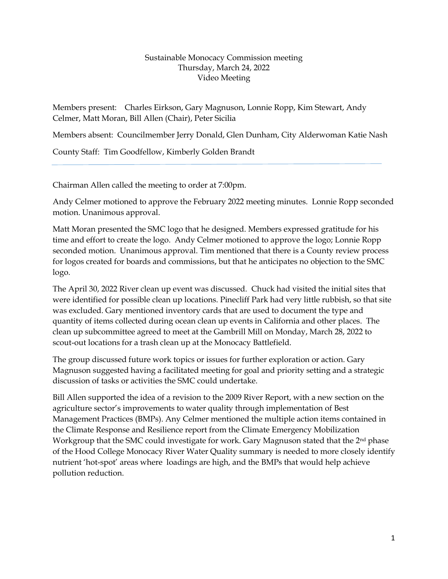## Sustainable Monocacy Commission meeting Thursday, March 24, 2022 Video Meeting

Members present: Charles Eirkson, Gary Magnuson, Lonnie Ropp, Kim Stewart, Andy Celmer, Matt Moran, Bill Allen (Chair), Peter Sicilia

Members absent: Councilmember Jerry Donald, Glen Dunham, City Alderwoman Katie Nash

County Staff: Tim Goodfellow, Kimberly Golden Brandt

Chairman Allen called the meeting to order at 7:00pm.

Andy Celmer motioned to approve the February 2022 meeting minutes. Lonnie Ropp seconded motion. Unanimous approval.

Matt Moran presented the SMC logo that he designed. Members expressed gratitude for his time and effort to create the logo. Andy Celmer motioned to approve the logo; Lonnie Ropp seconded motion. Unanimous approval. Tim mentioned that there is a County review process for logos created for boards and commissions, but that he anticipates no objection to the SMC logo.

The April 30, 2022 River clean up event was discussed. Chuck had visited the initial sites that were identified for possible clean up locations. Pinecliff Park had very little rubbish, so that site was excluded. Gary mentioned inventory cards that are used to document the type and quantity of items collected during ocean clean up events in California and other places. The clean up subcommittee agreed to meet at the Gambrill Mill on Monday, March 28, 2022 to scout-out locations for a trash clean up at the Monocacy Battlefield.

The group discussed future work topics or issues for further exploration or action. Gary Magnuson suggested having a facilitated meeting for goal and priority setting and a strategic discussion of tasks or activities the SMC could undertake.

Bill Allen supported the idea of a revision to the 2009 River Report, with a new section on the agriculture sector's improvements to water quality through implementation of Best Management Practices (BMPs). Any Celmer mentioned the multiple action items contained in the Climate Response and Resilience report from the Climate Emergency Mobilization Workgroup that the SMC could investigate for work. Gary Magnuson stated that the 2<sup>nd</sup> phase of the Hood College Monocacy River Water Quality summary is needed to more closely identify nutrient 'hot-spot' areas where loadings are high, and the BMPs that would help achieve pollution reduction.